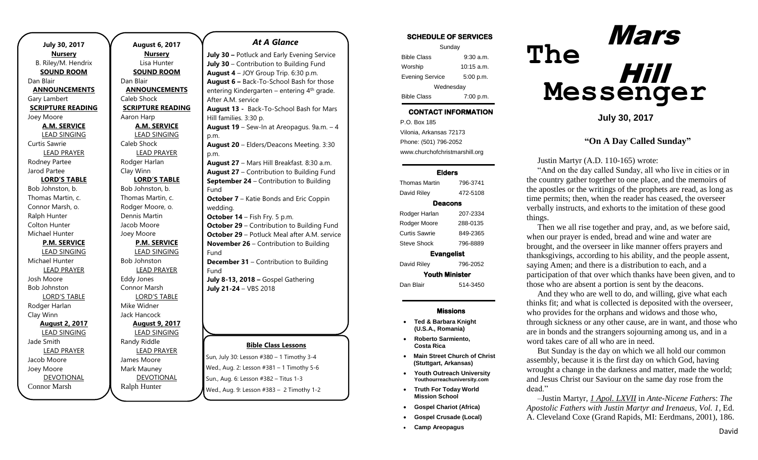| July 30, 2017            |  |
|--------------------------|--|
| <b>Nursery</b>           |  |
| B. Riley/M. Hendrix      |  |
| <b>SOUND ROOM</b>        |  |
| Dan Blair                |  |
| <b>ANNOUNCEMENTS</b>     |  |
| Gary Lambert             |  |
| <b>SCRIPTURE READING</b> |  |
| Joey Moore               |  |
| <b>A.M. SERVICE</b>      |  |
| <b>LEAD SINGING</b>      |  |
| Curtis Sawrie            |  |
| <b>LEAD PRAYER</b>       |  |
| Rodney Partee            |  |
| Jarod Partee             |  |
| <b>LORD'S TABLE</b>      |  |
| Bob Johnston, b.         |  |
| Thomas Martin, c.        |  |
| Connor Marsh, o.         |  |
| Ralph Hunter             |  |
| Colton Hunter            |  |
| Michael Hunter           |  |
| <b>P.M. SERVICE</b>      |  |
| <b>LEAD SINGING</b>      |  |
| Michael Hunter           |  |
| <b>LEAD PRAYER</b>       |  |
| Josh Moore               |  |
| <b>Bob Johnston</b>      |  |
| <b>LORD'S TABLE</b>      |  |
| Rodger Harlan            |  |
| Clay Winn                |  |
| <b>August 2, 2017</b>    |  |
| <b>LEAD SINGING</b>      |  |
| Jade Smith               |  |
| <b>LEAD PRAYER</b>       |  |
| Jacob Moore              |  |
| Joey Moore               |  |
| <b>DEVOTIONAL</b>        |  |
| Connor Marsh             |  |

.

**August 6, 2017 Nursery** Lisa Hunter **SOUND ROOM** Dan Blair **ANNOUNCEMENTS** Caleb Shock **SCRIPTURE READING** Aaron Harp **A.M. SERVICE** LEAD SINGING Caleb Shock LEAD PRAYER Rodger Harlan Clay Winn **LORD'S TABLE** Bob Johnston, b. Thomas Martin, c. Rodger Moore, o. Dennis Martin Jacob Moore Joey Moore **P.M. SERVICE** LEAD SINGING Bob Johnston LEAD PRAYER Eddy Jones Connor Marsh LORD'S TABLE Mike Widner Jack Hancock **August 9, 2017** LEAD SINGING Randy Riddle LEAD PRAYER James Moore Mark Mauney DEVOTIONAL Ralph Hunter

#### *At A Glance*

**Bible Class Lessons July 30 –** Potluck and Early Evening Service **July 30** – Contribution to Building Fund **August 4** – JOY Group Trip. 6:30 p.m. **August 6 –** Back-To-School Bash for those entering Kindergarten – entering 4<sup>th</sup> grade. After A.M. service **August 13 -** Back-To-School Bash for Mars Hill families. 3:30 p. **August 19** – Sew-In at Areopagus. 9a.m. – 4 p.m. **August 20** – Elders/Deacons Meeting. 3:30 p.m. **August 27** – Mars Hill Breakfast. 8:30 a.m. **August 27** – Contribution to Building Fund **September 24** – Contribution to Building Fund **October 7** – Katie Bonds and Eric Coppin wedding. **October 14** – Fish Fry. 5 p.m. **October 29** – Contribution to Building Fund **October 29** – Potluck Meal after A.M. service **November 26** – Contribution to Building Fund **December 31** – Contribution to Building Fund **July 8-13, 2018 –** Gospel Gathering **July 21-24** – VBS 2018

Sun, July 30: Lesson #380 – 1 Timothy 3-4 Wed., Aug. 2: Lesson #381 – 1 Timothy 5-6 Sun., Aug. 6: Lesson #382 – Titus 1-3 Wed., Aug. 9: Lesson #383 – 2 Timothy 1-2

| <b>SCHEDULE OF SERVICES</b> |  |  |
|-----------------------------|--|--|
|                             |  |  |

| Sunday                 |              |  |  |  |
|------------------------|--------------|--|--|--|
| <b>Bible Class</b>     | $9:30$ a.m.  |  |  |  |
| Worship                | $10:15$ a.m. |  |  |  |
| <b>Evening Service</b> | 5:00 p.m.    |  |  |  |
| Wednesday              |              |  |  |  |
| <b>Bible Class</b>     | 7:00 p.m.    |  |  |  |

## CONTACT INFORMATION

. .o. Box 166<br>Vilonia, Arkansas 72173 P.O. Box 185 Phone: (501) 796-2052 www.churchofchristmarshill.org

#### Elders

| 796-3741              |  |  |  |  |  |
|-----------------------|--|--|--|--|--|
| 472-5108              |  |  |  |  |  |
| Deacons               |  |  |  |  |  |
| 207-2334              |  |  |  |  |  |
| 288-0135              |  |  |  |  |  |
| 849-2365              |  |  |  |  |  |
| 796-8889              |  |  |  |  |  |
| <b>Evangelist</b>     |  |  |  |  |  |
| 796-2052              |  |  |  |  |  |
| <b>Youth Minister</b> |  |  |  |  |  |
| 514-3450              |  |  |  |  |  |
|                       |  |  |  |  |  |

#### Missions

- **Ted & Barbara Knight (U.S.A., Romania)**
- **Roberto Sarmiento, Costa Rica**
- **Main Street Church of Christ (Stuttgart, Arkansas)**
- **Youth Outreach University Youthourreachuniversity.com**
- **Truth For Today World Mission School**
- **Gospel Chariot (Africa)**
- **Gospel Crusade (Local)**
- **Camp Areopagus**



**July 30, 2017**

### **"On A Day Called Sunday"**

Justin Martyr (A.D. 110-165) wrote:

"And on the day called Sunday, all who live in cities or in the country gather together to one place, and the memoirs of the apostles or the writings of the prophets are read, as long as time permits; then, when the reader has ceased, the overseer verbally instructs, and exhorts to the imitation of these good things.

Then we all rise together and pray, and, as we before said, when our prayer is ended, bread and wine and water are brought, and the overseer in like manner offers prayers and thanksgivings, according to his ability, and the people assent, saying Amen; and there is a distribution to each, and a participation of that over which thanks have been given, and to those who are absent a portion is sent by the deacons.

And they who are well to do, and willing, give what each thinks fit; and what is collected is deposited with the overseer, who provides for the orphans and widows and those who, through sickness or any other cause, are in want, and those who are in bonds and the strangers sojourning among us, and in a word takes care of all who are in need.

But Sunday is the day on which we all hold our common assembly, because it is the first day on which God, having wrought a change in the darkness and matter, made the world; and Jesus Christ our Saviour on the same day rose from the dead."

–Justin Martyr, *[1 Apol. LXVII](http://www.ccel.org/ccel/schaff/anf01.viii.ii.lxvii.html)* in *Ante-Nicene Father*s: *The Apostolic Fathers with Justin Martyr and Irenaeus, Vol. 1*, Ed. A. Cleveland Coxe (Grand Rapids, MI: Eerdmans, 2001), 186.